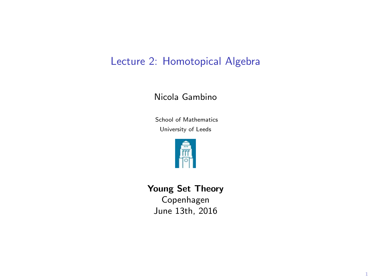# Lecture 2: Homotopical Algebra

#### Nicola Gambino

School of Mathematics University of Leeds



Young Set Theory

Copenhagen June 13th, 2016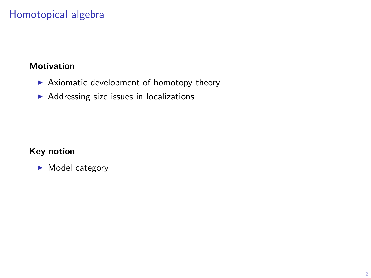# Homotopical algebra

#### Motivation

- $\triangleright$  Axiomatic development of homotopy theory
- $\blacktriangleright$  Addressing size issues in localizations

#### Key notion

 $\blacktriangleright$  Model category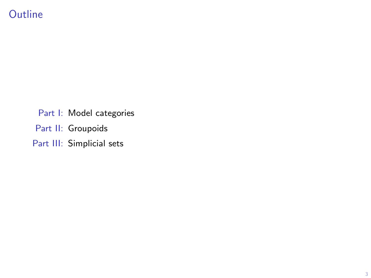# **Outline**

Part I: Model categories

Part II: Groupoids

Part III: Simplicial sets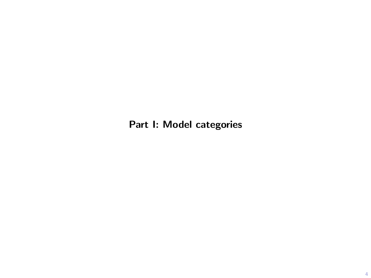Part I: Model categories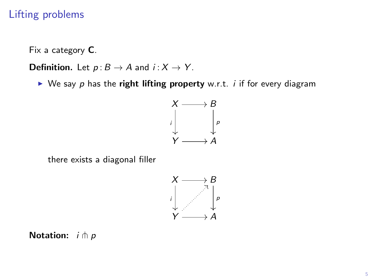## Lifting problems

Fix a category C.

**Definition.** Let  $p: B \to A$  and  $i: X \to Y$ .

 $\triangleright$  We say p has the right lifting property w.r.t. *i* if for every diagram



there exists a diagonal filler



**Notation:**  $i \pitchfork p$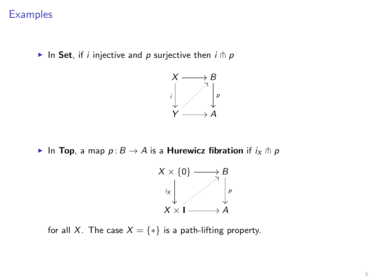### **Examples**

In Set, if i injective and p surjective then  $i \pitchfork p$ 



► In Top, a map  $p : B \to A$  is a Hurewicz fibration if  $i_X \pitchfork p$ 



for all X. The case  $X = \{*\}$  is a path-lifting property.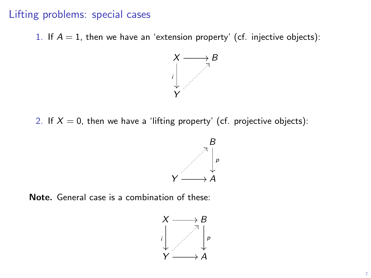#### Lifting problems: special cases

1. If  $A = 1$ , then we have an 'extension property' (cf. injective objects):



2. If  $X = 0$ , then we have a 'lifting property' (cf. projective objects):



Note. General case is a combination of these:

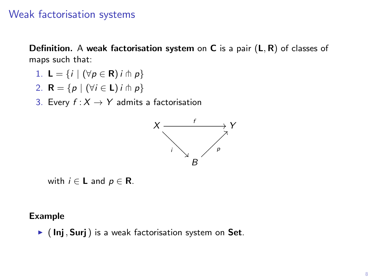### Weak factorisation systems

**Definition.** A weak factorisation system on C is a pair  $(L, R)$  of classes of maps such that:

- 1.  $\mathsf{L} = \{i \mid (\forall p \in \mathsf{R}) i \pitchfork p\}$
- 2. **R** = { $p | (\forall i \in L) i \pitchfork p$ }
- 3. Every  $f: X \rightarrow Y$  admits a factorisation



with  $i \in L$  and  $p \in R$ .

#### Example

 $\blacktriangleright$  (Inj, Surj) is a weak factorisation system on Set.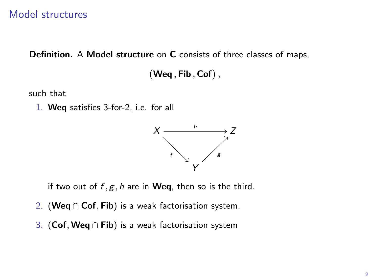### Model structures

Definition. A Model structure on C consists of three classes of maps,

 $(\mathsf{Weq}\,,\mathsf{Fib}\,,\mathsf{Cof})\,,$ 

such that

1. Weq satisfies 3-for-2, i.e. for all



if two out of  $f, g, h$  are in Weq, then so is the third.

- 2. (Weq ∩ Cof, Fib) is a weak factorisation system.
- 3. (Cof, Weq ∩ Fib) is a weak factorisation system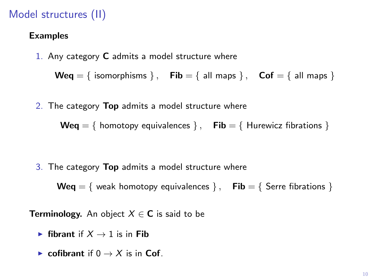## Model structures (II)

#### Examples

1. Any category C admits a model structure where

 $Weq = \{$  isomorphisms  $\}$ ,  $Fib = \{$  all maps  $\}$ ,  $Cof = \{$  all maps  $\}$ 

2. The category **Top** admits a model structure where  $Weq = \{$  homotopy equivalences  $\}$ , Fib =  $\{$  Hurewicz fibrations  $\}$ 

3. The category Top admits a model structure where

 $Weq = \{$  weak homotopy equivalences  $\}$ ,  $Fib = \{$  Serre fibrations  $\}$ 

**Terminology.** An object  $X \in \mathbb{C}$  is said to be

- **► fibrant** if  $X \rightarrow 1$  is in Fib
- ► cofibrant if  $0 \rightarrow X$  is in Cof.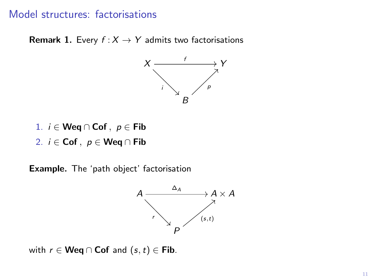#### Model structures: factorisations

**Remark 1.** Every  $f : X \rightarrow Y$  admits two factorisations



- 1.  $i \in \mathsf{Weq} \cap \mathsf{Cof}$ ,  $p \in \mathsf{Fib}$
- 2.  $i \in \mathsf{Cof}$ ,  $p \in \mathsf{Weq} \cap \mathsf{Fib}$

Example. The 'path object' factorisation



with  $r \in \mathsf{Weq} \cap \mathsf{Cof}$  and  $(s, t) \in \mathsf{Fib}$ .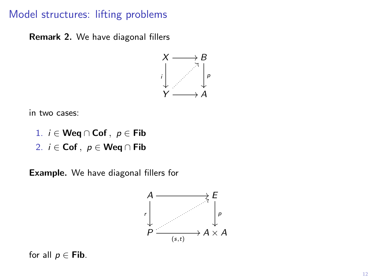### Model structures: lifting problems

Remark 2. We have diagonal fillers



in two cases:

- 1. *i* ∈ Weq ∩ Cof, *p* ∈ Fib
- 2.  $i \in \mathsf{Cof}$ ,  $p \in \mathsf{Weq} \cap \mathsf{Fib}$

Example. We have diagonal fillers for



for all  $p \in$  Fib.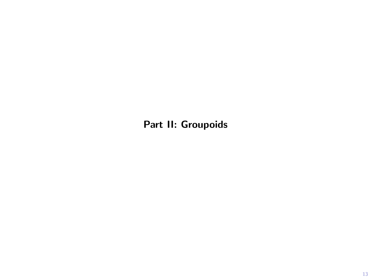Part II: Groupoids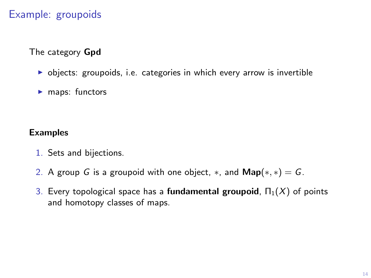## Example: groupoids

The category Gpd

- $\triangleright$  objects: groupoids, i.e. categories in which every arrow is invertible
- $\blacktriangleright$  maps: functors

Examples

- 1. Sets and bijections.
- 2. A group G is a groupoid with one object,  $*$ , and  $\mathsf{Map}(*, *) = G$ .
- 3. Every topological space has a fundamental groupoid,  $\Pi_1(X)$  of points and homotopy classes of maps.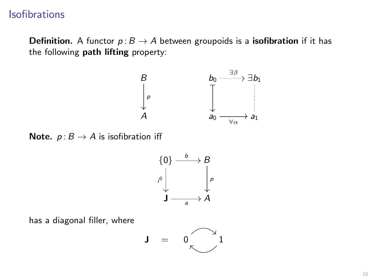### **Isofibrations**

**Definition.** A functor  $p: B \to A$  between groupoids is a **isofibration** if it has the following path lifting property:

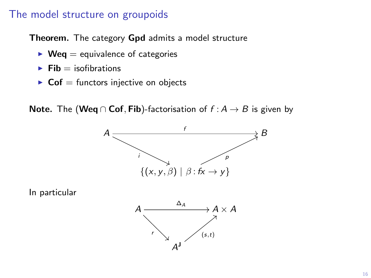### The model structure on groupoids

Theorem. The category Gpd admits a model structure

- $\triangleright$  Weg = equivalence of categories
- $\blacktriangleright$  Fib = isofibrations
- $\triangleright$  Cof = functors injective on objects

Note. The (Weq ∩ Cof, Fib)-factorisation of  $f : A \rightarrow B$  is given by

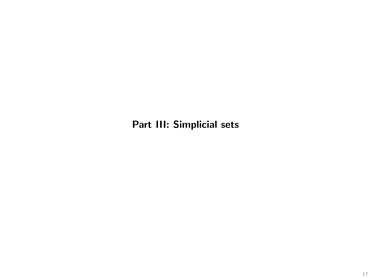## Part III: Simplicial sets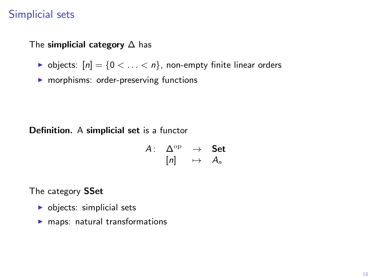## Simplicial sets

#### The simplicial category ∆ has

- bobjects:  $[n] = \{0 < \ldots < n\}$ , non-empty finite linear orders
- $\blacktriangleright$  morphisms: order-preserving functions

#### Definition. A simplicial set is a functor

$$
A: \quad \Delta^{\mathrm{op}} \quad \to \quad \mathbf{Set} \\ [n] \quad \mapsto \quad A_n
$$

The category SSet

- $\triangleright$  objects: simplicial sets
- $\blacktriangleright$  maps: natural transformations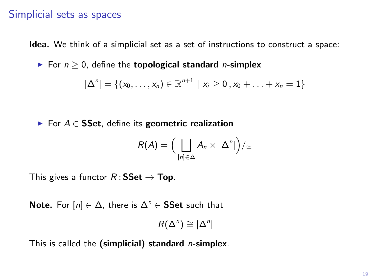#### Simplicial sets as spaces

Idea. We think of a simplicial set as a set of instructions to construct a space:

For  $n > 0$ , define the **topological standard** *n*-simplex

$$
|\Delta^n| = \{(x_0,\ldots,x_n) \in \mathbb{R}^{n+1} \mid x_i \geq 0, x_0 + \ldots + x_n = 1\}
$$

► For  $A \in$  SSet, define its geometric realization

$$
R(A) = \Big(\bigsqcup_{[n]\in\Delta} A_n\times |\Delta^n|\Big)/_{\simeq}
$$

This gives a functor  $R:$  SSet  $\rightarrow$  Top.

Note. For  $[n] \in \Delta$ , there is  $\Delta^n \in \mathsf{SSet}$  such that

$$
R(\Delta^n) \cong |\Delta^n|
$$

This is called the (simplicial) standard  $n$ -simplex.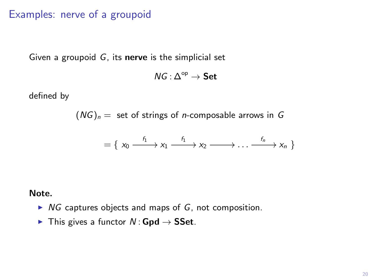#### Examples: nerve of a groupoid

Given a groupoid G, its nerve is the simplicial set

$$
\textit{NG}:\Delta^{\text{op}}\rightarrow\textbf{Set}
$$

defined by

 $(NG)<sub>n</sub>$  = set of strings of *n*-composable arrows in G

$$
= \{ x_0 \xrightarrow{f_1} x_1 \xrightarrow{f_1} x_2 \xrightarrow{f_n} \dots \xrightarrow{f_n} x_n \}
$$

Note.

- $\triangleright$  NG captures objects and maps of G, not composition.
- $\triangleright$  This gives a functor  $N:$  Gpd  $\rightarrow$  SSet.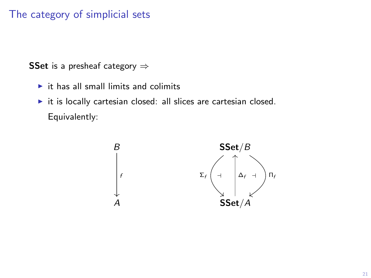## The category of simplicial sets

SSet is a presheaf category  $\Rightarrow$ 

- $\triangleright$  it has all small limits and colimits
- $\triangleright$  it is locally cartesian closed: all slices are cartesian closed. Equivalently:

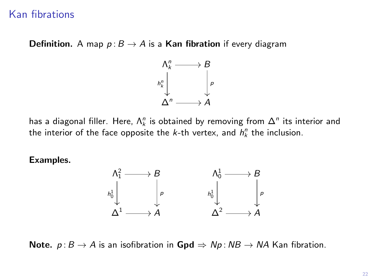### Kan fibrations

**Definition.** A map  $p: B \to A$  is a **Kan fibration** if every diagram



has a diagonal filler. Here,  $\Lambda_k^n$  is obtained by removing from  $\Delta^n$  its interior and the interior of the face opposite the *k*-th vertex, and  $h_k^n$  the inclusion.

Examples.



Note.  $p : B \to A$  is an isofibration in  $Gpd \Rightarrow Np : NB \to NA$  Kan fibration.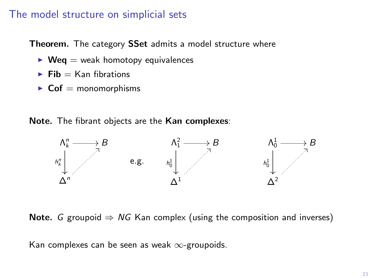### The model structure on simplicial sets

Theorem. The category SSet admits a model structure where

- $\triangleright$  Weq = weak homotopy equivalences
- $\blacktriangleright$  Fib = Kan fibrations
- $\triangleright$  Cof = monomorphisms

Note. The fibrant objects are the Kan complexes:



**Note.** G groupoid  $\Rightarrow$  NG Kan complex (using the composition and inverses)

Kan complexes can be seen as weak ∞-groupoids.